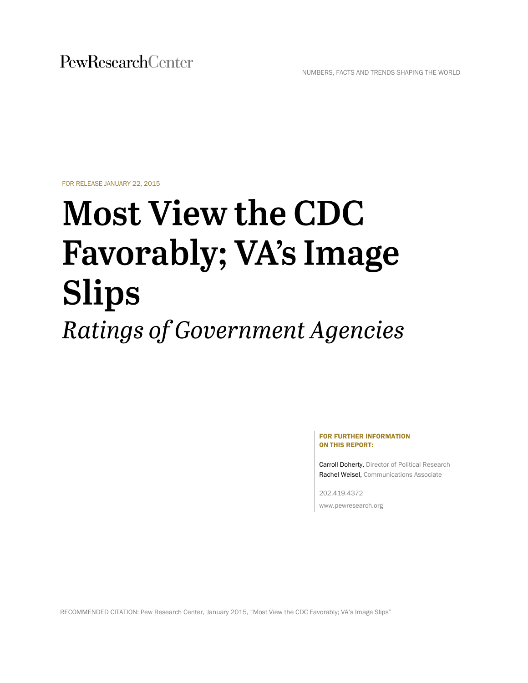FOR RELEASE JANUARY 22, 2015

# **Most View the CDC Favorably; VA's Image Slips** Ratings of Government Agencies

#### FOR FURTHER INFORMATION ON THIS REPORT:

Carroll Doherty, Director of Political Research Rachel Weisel, Communications Associate

202.419.4372 www.pewresearch.org

RECOMMENDED CITATION: Pew Research Center, January 2015, "Most View the CDC Favorably; VA's Image Slips"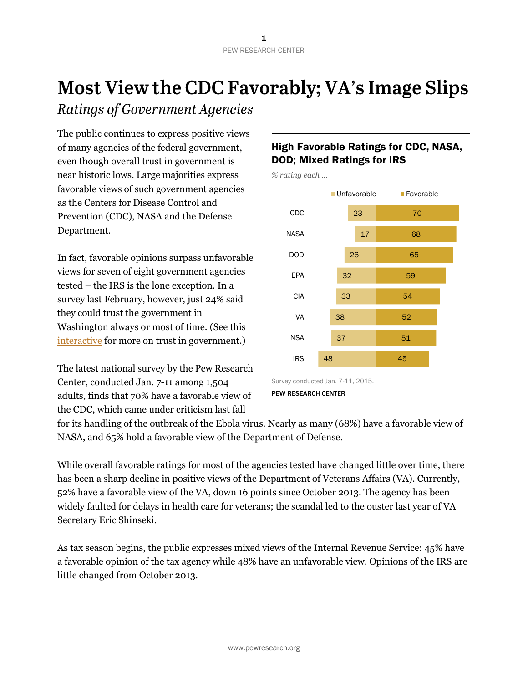# Most View the CDC Favorably; VA's Image Slips

Ratings of Government Agencies

The public continues to express positive views of many agencies of the federal government, even though overall trust in government is near historic lows. Large majorities express favorable views of such government agencies as the Centers for Disease Control and Prevention (CDC), NASA and the Defense Department.

In fact, favorable opinions surpass unfavorable views for seven of eight government agencies tested – the IRS is the lone exception. In a survey last February, however, just 24% said they could trust the government in Washington always or most of time. (See this [interactive](http://www.people-press.org/2014/11/13/public-trust-in-government/) for more on trust in government.)

The latest national survey by the Pew Research Center, conducted Jan. 7-11 among 1,504 adults, finds that 70% have a favorable view of the CDC, which came under criticism last fall

## High Favorable Ratings for CDC, NASA, DOD; Mixed Ratings for IRS

23 17 26 32 33 38 37 48 70 68 65 59 54 52 51 45 CDC NASA DOD EPA CIA VA **NSA** IRS ■ Unfavorable ■ Favorable Survey conducted Jan. 7-11, 2015. PEW RESEARCH CENTER

*% rating each …*

for its handling of the outbreak of the Ebola virus. Nearly as many (68%) have a favorable view of NASA, and 65% hold a favorable view of the Department of Defense.

While overall favorable ratings for most of the agencies tested have changed little over time, there has been a sharp decline in positive views of the Department of Veterans Affairs (VA). Currently, 52% have a favorable view of the VA, down 16 points since October 2013. The agency has been widely faulted for delays in health care for veterans; the scandal led to the ouster last year of VA Secretary Eric Shinseki.

As tax season begins, the public expresses mixed views of the Internal Revenue Service: 45% have a favorable opinion of the tax agency while 48% have an unfavorable view. Opinions of the IRS are little changed from October 2013.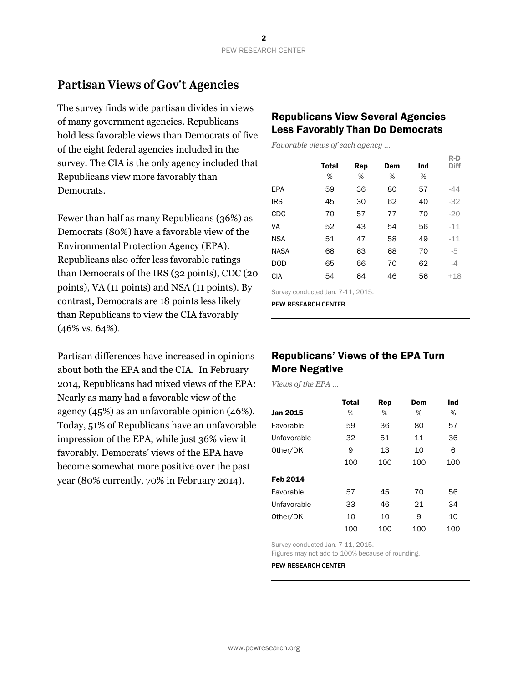# **Partisan Views of Gov't Agencies**

The survey finds wide partisan divides in views of many government agencies. Republicans hold less favorable views than Democrats of five of the eight federal agencies included in the survey. The CIA is the only agency included that Republicans view more favorably than Democrats.

Fewer than half as many Republicans (36%) as Democrats (80%) have a favorable view of the Environmental Protection Agency (EPA). Republicans also offer less favorable ratings than Democrats of the IRS (32 points), CDC (20 points), VA (11 points) and NSA (11 points). By contrast, Democrats are 18 points less likely than Republicans to view the CIA favorably (46% vs. 64%).

Partisan differences have increased in opinions about both the EPA and the CIA. In February 2014, Republicans had mixed views of the EPA: Nearly as many had a favorable view of the agency (45%) as an unfavorable opinion (46%). Today, 51% of Republicans have an unfavorable impression of the EPA, while just 36% view it favorably. Democrats' views of the EPA have become somewhat more positive over the past year (80% currently, 70% in February 2014).

#### Republicans View Several Agencies Less Favorably Than Do Democrats

*Favorable views of each agency …*

|             |              |     |     |     | $R-D$       |
|-------------|--------------|-----|-----|-----|-------------|
|             | <b>Total</b> | Rep | Dem | Ind | <b>Diff</b> |
|             | %            | %   | %   | %   |             |
| <b>EPA</b>  | 59           | 36  | 80  | 57  | -44         |
| <b>IRS</b>  | 45           | 30  | 62  | 40  | $-32$       |
| CDC         | 70           | 57  | 77  | 70  | $-20$       |
| VA          | 52           | 43  | 54  | 56  | $-11$       |
| <b>NSA</b>  | 51           | 47  | 58  | 49  | $-11$       |
| <b>NASA</b> | 68           | 63  | 68  | 70  | -5          |
| <b>DOD</b>  | 65           | 66  | 70  | 62  | -4          |
| <b>CIA</b>  | 54           | 64  | 46  | 56  | $+18$       |
|             |              |     |     |     |             |

Survey conducted Jan. 7-11, 2015.

PEW RESEARCH CENTER

#### Republicans' Views of the EPA Turn More Negative

*Views of the EPA …* 

|             | <b>Total</b> | Rep       | Dem       | Ind |
|-------------|--------------|-----------|-----------|-----|
| Jan 2015    | %            | %         | %         | %   |
| Favorable   | 59           | 36        | 80        | 57  |
| Unfavorable | 32           | 51        | 11        | 36  |
| Other/DK    | <u>9</u>     | <u>13</u> | <u>10</u> | 6   |
|             | 100          | 100       | 100       | 100 |
| Feb 2014    |              |           |           |     |
| Favorable   | 57           | 45        | 70        | 56  |
| Unfavorable | 33           | 46        | 21        | 34  |
| Other/DK    | 10           | <u>10</u> | 9         | 10  |
|             | 100          | 100       | 100       | 100 |

Survey conducted Jan. 7-11, 2015. Figures may not add to 100% because of rounding.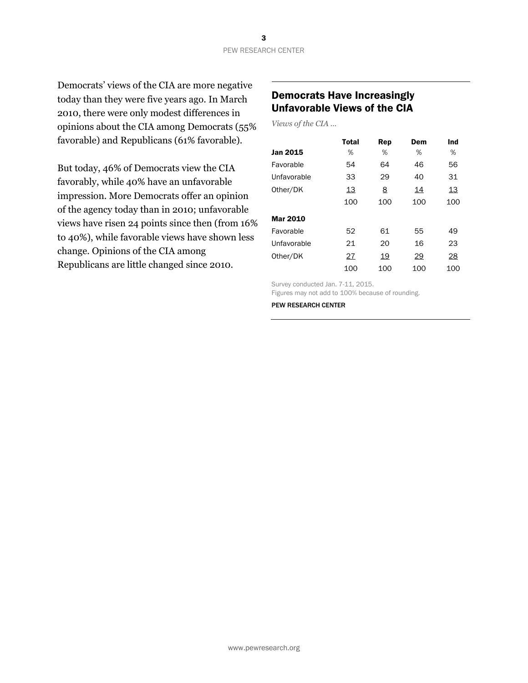Democrats' views of the CIA are more negative today than they were five years ago. In March 2010, there were only modest differences in opinions about the CIA among Democrats (55% favorable) and Republicans (61% favorable).

But today, 46% of Democrats view the CIA favorably, while 40% have an unfavorable impression. More Democrats offer an opinion of the agency today than in 2010; unfavorable views have risen 24 points since then (from 16% to 40%), while favorable views have shown less change. Opinions of the CIA among Republicans are little changed since 2010.

### Democrats Have Increasingly Unfavorable Views of the CIA

*Views of the CIA …*

|                 | Total | Rep      | Dem | Ind |
|-----------------|-------|----------|-----|-----|
| <b>Jan 2015</b> | %     | %        | %   | %   |
| Favorable       | 54    | 64       | 46  | 56  |
| Unfavorable     | 33    | 29       | 40  | 31  |
| Other/DK        | 13    | <u>8</u> | 14  | 13  |
|                 | 100   | 100      | 100 | 100 |
| <b>Mar 2010</b> |       |          |     |     |
| Favorable       | 52    | 61       | 55  | 49  |
| Unfavorable     | 21    | 20       | 16  | 23  |
| Other/DK        | 27    | 19       | 29  | 28  |
|                 | 100   | 100      | 100 | 100 |

Survey conducted Jan. 7-11, 2015. Figures may not add to 100% because of rounding.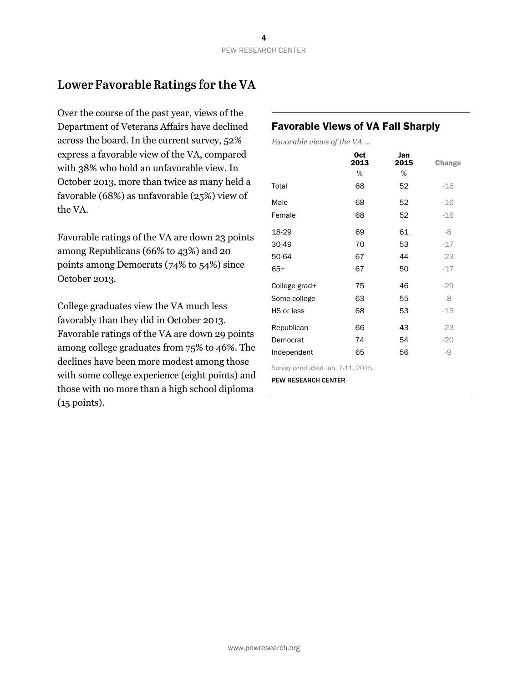# Lower Favorable Ratings for the VA

Over the course of the past year, views of the Department of Veterans Affairs have declined across the board. In the current survey, 52% express a favorable view of the VA, compared with 38% who hold an unfavorable view. In October 2013, more than twice as many held a favorable (68%) as unfavorable (25%) view of the VA.

Favorable ratings of the VA are down 23 points among Republicans (66% to 43%) and 20 points among Democrats (74% to 54%) since October 2013.

College graduates view the VA much less favorably than they did in October 2013. Favorable ratings of the VA are down 29 points among college graduates from 75% to 46%. The declines have been more modest among those with some college experience (eight points) and those with no more than a high school diploma (15 points).

### Favorable Views of VA Fall Sharply

*Favorable views of the VA …* 

|                                   | <b>Oct</b><br>2013 | Jan<br>2015 | Change |
|-----------------------------------|--------------------|-------------|--------|
|                                   | %                  | %           |        |
| Total                             | 68                 | 52          | $-16$  |
| Male                              | 68                 | 52          | $-16$  |
| Female                            | 68                 | 52          | $-16$  |
| 18-29                             | 69                 | 61          | -8     |
| 30-49                             | 70                 | 53          | $-17$  |
| 50-64                             | 67                 | 44          | $-23$  |
| 65+                               | 67                 | 50          | $-17$  |
| College grad+                     | 75                 | 46          | $-29$  |
| Some college                      | 63                 | 55          | -8     |
| HS or less                        | 68                 | 53          | $-15$  |
| Republican                        | 66                 | 43          | $-23$  |
| Democrat                          | 74                 | 54          | $-20$  |
| Independent                       | 65                 | 56          | -9     |
| Survey conducted Jan. 7-11, 2015. |                    |             |        |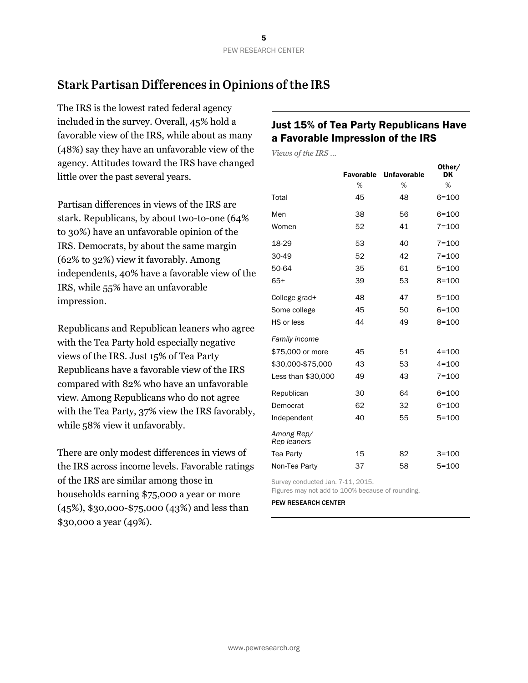# **Stark Partisan Differences in Opinions of the IRS**

The IRS is the lowest rated federal agency included in the survey. Overall, 45% hold a favorable view of the IRS, while about as many (48%) say they have an unfavorable view of the agency. Attitudes toward the IRS have changed little over the past several years.

Partisan differences in views of the IRS are stark. Republicans, by about two-to-one (64% to 30%) have an unfavorable opinion of the IRS. Democrats, by about the same margin (62% to 32%) view it favorably. Among independents, 40% have a favorable view of the IRS, while 55% have an unfavorable impression.

Republicans and Republican leaners who agree with the Tea Party hold especially negative views of the IRS. Just 15% of Tea Party Republicans have a favorable view of the IRS compared with 82% who have an unfavorable view. Among Republicans who do not agree with the Tea Party, 37% view the IRS favorably, while 58% view it unfavorably.

There are only modest differences in views of the IRS across income levels. Favorable ratings of the IRS are similar among those in households earning \$75,000 a year or more (45%), \$30,000-\$75,000 (43%) and less than \$30,000 a year (49%).

### Just 15% of Tea Party Republicans Have a Favorable Impression of the IRS

*Views of the IRS …*

|                           | <b>Favorable</b> | <b>Unfavorable</b> | Other/<br>DK |
|---------------------------|------------------|--------------------|--------------|
|                           | %                | %                  | %            |
| Total                     | 45               | 48                 | $6 = 100$    |
| Men                       | 38               | 56                 | $6 = 100$    |
| Women                     | 52               | 41                 | $7 = 100$    |
| 18-29                     | 53               | 40                 | $7 = 100$    |
| 30-49                     | 52               | 42                 | $7 = 100$    |
| 50-64                     | 35               | 61                 | $5 = 100$    |
| $65+$                     | 39               | 53                 | $8 = 100$    |
| College grad+             | 48               | 47                 | $5 = 100$    |
| Some college              | 45               | 50                 | $6 = 100$    |
| HS or less                | 44               | 49                 | $8 = 100$    |
| Family income             |                  |                    |              |
| \$75,000 or more          | 45               | 51                 | $4 = 100$    |
| \$30,000-\$75,000         | 43               | 53                 | $4 = 100$    |
| Less than \$30,000        | 49               | 43                 | $7 = 100$    |
| Republican                | 30               | 64                 | $6 = 100$    |
| Democrat                  | 62               | 32                 | $6 = 100$    |
| Independent               | 40               | 55                 | $5 = 100$    |
| Among Rep/<br>Rep leaners |                  |                    |              |
| Tea Party                 | 15               | 82                 | $3 = 100$    |
| Non-Tea Party             | 37               | 58                 | $5 = 100$    |

Survey conducted Jan. 7-11, 2015. Figures may not add to 100% because of rounding.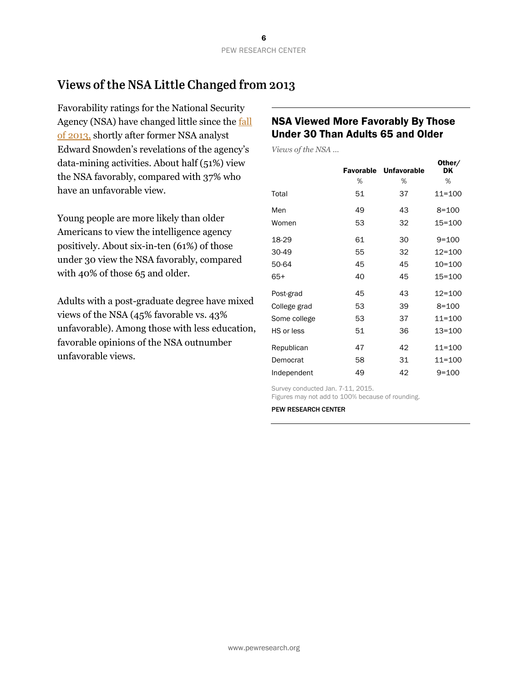# Views of the NSA Little Changed from 2013

Favorability ratings for the National Security Agency (NSA) have changed little since th[e fall](http://www.people-press.org/2013/10/18/trust-in-government-nears-record-low-but-most-federal-agencies-are-viewed-favorably/)  [of 2013,](http://www.people-press.org/2013/10/18/trust-in-government-nears-record-low-but-most-federal-agencies-are-viewed-favorably/) shortly after former NSA analyst Edward Snowden's revelations of the agency's data-mining activities. About half (51%) view the NSA favorably, compared with 37% who have an unfavorable view.

Young people are more likely than older Americans to view the intelligence agency positively. About six-in-ten (61%) of those under 30 view the NSA favorably, compared with 40% of those 65 and older.

Adults with a post-graduate degree have mixed views of the NSA (45% favorable vs. 43% unfavorable). Among those with less education, favorable opinions of the NSA outnumber unfavorable views.

#### NSA Viewed More Favorably By Those Under 30 Than Adults 65 and Older

*Views of the NSA …*

|              |    | <b>Favorable Unfavorable</b> | Other/<br>DK |
|--------------|----|------------------------------|--------------|
|              | %  | %                            | %            |
| Total        | 51 | 37                           | 11=100       |
| Men          | 49 | 43                           | $8 = 100$    |
| Women        | 53 | 32                           | 15=100       |
| 18-29        | 61 | 30                           | $9 = 100$    |
| 30-49        | 55 | 32                           | $12 = 100$   |
| 50-64        | 45 | 45                           | 10=100       |
| $65+$        | 40 | 45                           | 15=100       |
| Post-grad    | 45 | 43                           | 12=100       |
| College grad | 53 | 39                           | $8 = 100$    |
| Some college | 53 | 37                           | $11 = 100$   |
| HS or less   | 51 | 36                           | 13=100       |
| Republican   | 47 | 42                           | 11=100       |
| Democrat     | 58 | 31                           | 11=100       |
| Independent  | 49 | 42                           | $9 = 100$    |

Survey conducted Jan. 7-11, 2015.

Figures may not add to 100% because of rounding.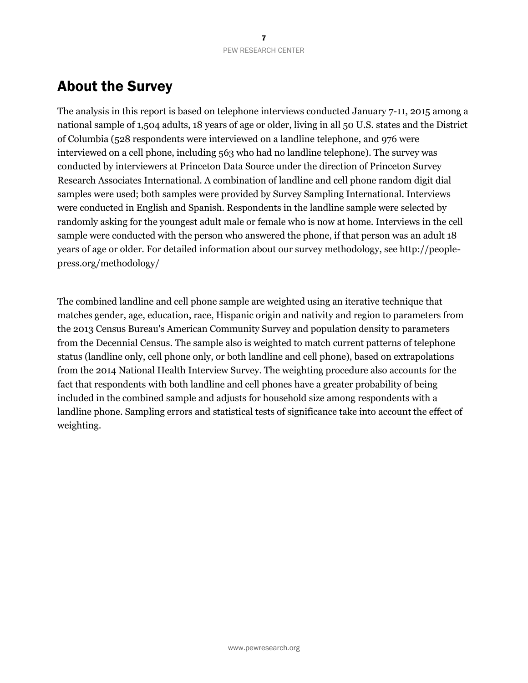# About the Survey

The analysis in this report is based on telephone interviews conducted January 7-11, 2015 among a national sample of 1,504 adults, 18 years of age or older, living in all 50 U.S. states and the District of Columbia (528 respondents were interviewed on a landline telephone, and 976 were interviewed on a cell phone, including 563 who had no landline telephone). The survey was conducted by interviewers at Princeton Data Source under the direction of Princeton Survey Research Associates International. A combination of landline and cell phone random digit dial samples were used; both samples were provided by Survey Sampling International. Interviews were conducted in English and Spanish. Respondents in the landline sample were selected by randomly asking for the youngest adult male or female who is now at home. Interviews in the cell sample were conducted with the person who answered the phone, if that person was an adult 18 years of age or older. For detailed information about our survey methodology, see http://peoplepress.org/methodology/

The combined landline and cell phone sample are weighted using an iterative technique that matches gender, age, education, race, Hispanic origin and nativity and region to parameters from the 2013 Census Bureau's American Community Survey and population density to parameters from the Decennial Census. The sample also is weighted to match current patterns of telephone status (landline only, cell phone only, or both landline and cell phone), based on extrapolations from the 2014 National Health Interview Survey. The weighting procedure also accounts for the fact that respondents with both landline and cell phones have a greater probability of being included in the combined sample and adjusts for household size among respondents with a landline phone. Sampling errors and statistical tests of significance take into account the effect of weighting.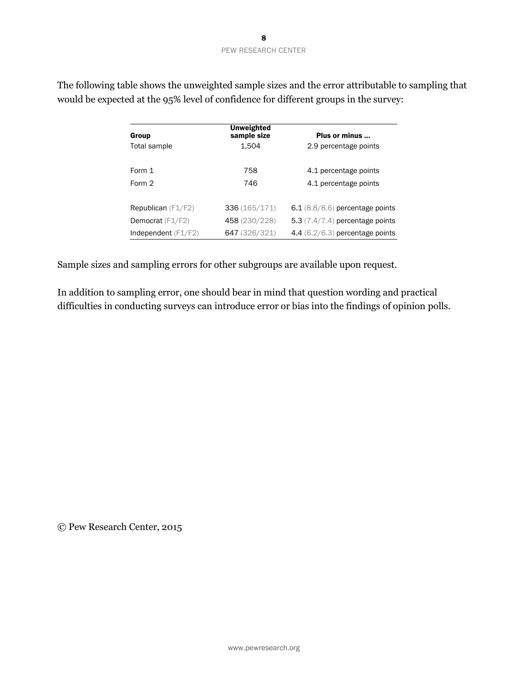| Group                       | <b>Unweighted</b><br>sample size | Plus or minus                     |
|-----------------------------|----------------------------------|-----------------------------------|
| Total sample                | 1.504                            | 2.9 percentage points             |
| Form 1                      | 758                              | 4.1 percentage points             |
| Form 2                      | 746                              | 4.1 percentage points             |
| <b>Republican</b> $(F1/F2)$ | 336(165/171)                     | $6.1$ (8.8/8.6) percentage points |
| Democrat (F1/F2)            | 458 (230/228)                    | 5.3 $(7.4/7.4)$ percentage points |
| Independent $(F1/F2)$       | 647 (326/321)                    | 4.4 $(6.2/6.3)$ percentage points |

The following table shows the unweighted sample sizes and the error attributable to sampling that would be expected at the 95% level of confidence for different groups in the survey:

Sample sizes and sampling errors for other subgroups are available upon request.

In addition to sampling error, one should bear in mind that question wording and practical difficulties in conducting surveys can introduce error or bias into the findings of opinion polls.

© Pew Research Center, 2015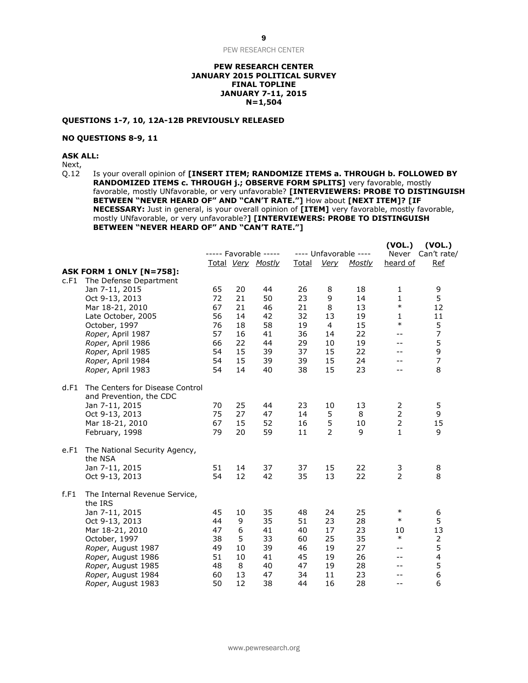PEW RESEARCH CENTER

#### **PEW RESEARCH CENTER JANUARY 2015 POLITICAL SURVEY FINAL TOPLINE JANUARY 7-11, 2015 N=1,504**

#### **QUESTIONS 1-7, 10, 12A-12B PREVIOUSLY RELEASED**

#### **NO QUESTIONS 8-9, 11**

**ASK ALL:**

Next,<br>Q.12

Is your overall opinion of **[INSERT ITEM; RANDOMIZE ITEMS a. THROUGH b. FOLLOWED BY RANDOMIZED ITEMS c. THROUGH j.; OBSERVE FORM SPLITS]** very favorable, mostly favorable, mostly UNfavorable, or very unfavorable? **[INTERVIEWERS: PROBE TO DISTINGUISH BETWEEN "NEVER HEARD OF" AND "CAN'T RATE."]** How about **[NEXT ITEM]? [IF NECESSARY:** Just in general, is your overall opinion of **[ITEM]** very favorable, mostly favorable, mostly UNfavorable, or very unfavorable?**] [INTERVIEWERS: PROBE TO DISTINGUISH BETWEEN "NEVER HEARD OF" AND "CAN'T RATE."]**

|      |                                                            |    |    | ----- Favorable -----<br>Total Very Mostly | <b>Total</b> | <b>Very</b>    | ---- Unfavorable ----<br>Mostly | (VOL.)<br>Never<br>heard of                   | (VOL.)<br>Can't rate/<br><b>Ref</b> |
|------|------------------------------------------------------------|----|----|--------------------------------------------|--------------|----------------|---------------------------------|-----------------------------------------------|-------------------------------------|
|      | <b>ASK FORM 1 ONLY [N=758]:</b>                            |    |    |                                            |              |                |                                 |                                               |                                     |
| c.F1 | The Defense Department                                     |    |    |                                            |              |                |                                 |                                               |                                     |
|      | Jan 7-11, 2015                                             | 65 | 20 | 44                                         | 26           | 8              | 18                              | $\mathbf{1}$                                  | 9                                   |
|      | Oct 9-13, 2013                                             | 72 | 21 | 50                                         | 23           | 9              | 14                              | $\mathbf{1}$                                  | 5                                   |
|      | Mar 18-21, 2010                                            | 67 | 21 | 46                                         | 21           | 8              | 13                              | $\ast$                                        | 12                                  |
|      | Late October, 2005                                         | 56 | 14 | 42                                         | 32           | 13             | 19                              | $\mathbf{1}$                                  | 11                                  |
|      | October, 1997                                              | 76 | 18 | 58                                         | 19           | $\overline{4}$ | 15                              | $\ast$                                        | 5                                   |
|      | Roper, April 1987                                          | 57 | 16 | 41                                         | 36           | 14             | 22                              | $- -$                                         | $\overline{7}$                      |
|      | Roper, April 1986                                          | 66 | 22 | 44                                         | 29           | 10             | 19                              | --                                            | 5                                   |
|      | Roper, April 1985                                          | 54 | 15 | 39                                         | 37           | 15             | 22                              | --                                            | 9                                   |
|      | Roper, April 1984                                          | 54 | 15 | 39                                         | 39           | 15             | 24                              | $-$                                           | $\overline{7}$                      |
|      | Roper, April 1983                                          | 54 | 14 | 40                                         | 38           | 15             | 23                              | $-1$                                          | 8                                   |
| d.F1 | The Centers for Disease Control<br>and Prevention, the CDC |    |    |                                            |              |                |                                 |                                               |                                     |
|      | Jan 7-11, 2015                                             | 70 | 25 | 44                                         | 23           | 10             | 13                              | 2                                             | 5                                   |
|      | Oct 9-13, 2013                                             | 75 | 27 | 47                                         | 14           | 5              | 8                               | $\overline{2}$                                | 9                                   |
|      | Mar 18-21, 2010                                            | 67 | 15 | 52                                         | 16           | 5              | 10                              | $\overline{2}$                                | 15                                  |
|      | February, 1998                                             | 79 | 20 | 59                                         | 11           | $\overline{2}$ | 9                               | $\mathbf{1}$                                  | 9                                   |
| e.F1 | The National Security Agency,<br>the NSA                   |    |    |                                            |              |                |                                 |                                               |                                     |
|      | Jan 7-11, 2015                                             | 51 | 14 | 37                                         | 37           | 15             | 22                              | 3                                             | 8                                   |
|      | Oct 9-13, 2013                                             | 54 | 12 | 42                                         | 35           | 13             | 22                              | $\overline{2}$                                | 8                                   |
| f.F1 | The Internal Revenue Service,<br>the IRS                   |    |    |                                            |              |                |                                 |                                               |                                     |
|      | Jan 7-11, 2015                                             | 45 | 10 | 35                                         | 48           | 24             | 25                              | $\ast$                                        | 6                                   |
|      | Oct 9-13, 2013                                             | 44 | 9  | 35                                         | 51           | 23             | 28                              | $\ast$                                        | 5                                   |
|      | Mar 18-21, 2010                                            | 47 | 6  | 41                                         | 40           | 17             | 23                              | 10                                            | 13                                  |
|      | October, 1997                                              | 38 | 5  | 33                                         | 60           | 25             | 35                              | $\ast$                                        | 2                                   |
|      | Roper, August 1987                                         | 49 | 10 | 39                                         | 46           | 19             | 27                              | $- -$                                         | 5                                   |
|      | Roper, August 1986                                         | 51 | 10 | 41                                         | 45           | 19             | 26                              | $- -$                                         | $\overline{\mathbf{4}}$             |
|      | Roper, August 1985                                         | 48 | 8  | 40                                         | 47           | 19             | 28                              | $- -$                                         | 5                                   |
|      | Roper, August 1984                                         | 60 | 13 | 47                                         | 34           | 11             | 23                              | --                                            | 6                                   |
|      | Roper, August 1983                                         | 50 | 12 | 38                                         | 44           | 16             | 28                              | $\mathord{\hspace{1pt}\text{--}\hspace{1pt}}$ | 6                                   |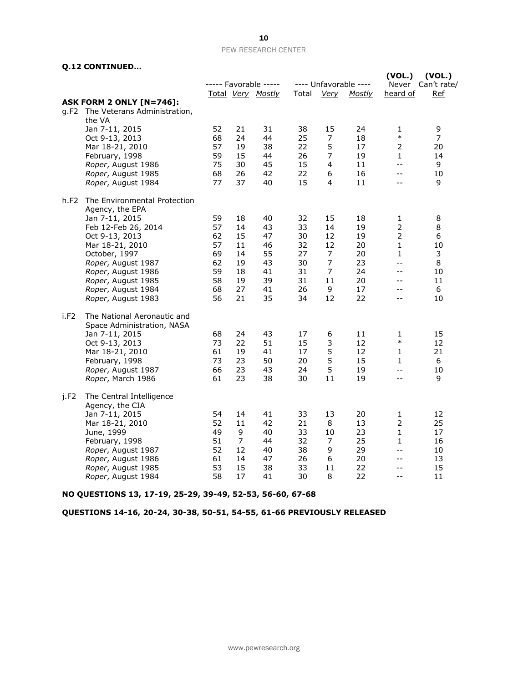#### **Q.12 CONTINUED…**

|      |                                                                                                                                                                                                                                                              |                                                          |                                                          | ----- Favorable -----                                    |                                                          |                                                                                | ---- Unfavorable ----                                    | (VOL.)<br>Never                                                                              | (VOL.)<br>Can't rate/                              |
|------|--------------------------------------------------------------------------------------------------------------------------------------------------------------------------------------------------------------------------------------------------------------|----------------------------------------------------------|----------------------------------------------------------|----------------------------------------------------------|----------------------------------------------------------|--------------------------------------------------------------------------------|----------------------------------------------------------|----------------------------------------------------------------------------------------------|----------------------------------------------------|
|      |                                                                                                                                                                                                                                                              |                                                          |                                                          | Total Very Mostly                                        | Total                                                    | <u>Very</u>                                                                    | <u>Mostly</u>                                            | heard of                                                                                     | <u>Ref</u>                                         |
|      | <b>ASK FORM 2 ONLY [N=746]:</b><br>g.F2 The Veterans Administration,<br>the VA                                                                                                                                                                               |                                                          |                                                          |                                                          |                                                          |                                                                                |                                                          |                                                                                              |                                                    |
|      | Jan 7-11, 2015<br>Oct 9-13, 2013<br>Mar 18-21, 2010<br>February, 1998<br>Roper, August 1986<br>Roper, August 1985<br>Roper, August 1984                                                                                                                      | 52<br>68<br>57<br>59<br>75<br>68<br>77                   | 21<br>24<br>19<br>15<br>30<br>26<br>37                   | 31<br>44<br>38<br>44<br>45<br>42<br>40                   | 38<br>25<br>22<br>26<br>15<br>22<br>15                   | 15<br>$\overline{7}$<br>5<br>7<br>4<br>6<br>4                                  | 24<br>18<br>17<br>19<br>11<br>16<br>11                   | 1<br>$\ast$<br>$\overline{2}$<br>1<br>$-$<br>$- -$<br>$-$                                    | 9<br>$\overline{7}$<br>20<br>14<br>9<br>10<br>9    |
| h.F2 | The Environmental Protection<br>Agency, the EPA<br>Jan 7-11, 2015<br>Feb 12-Feb 26, 2014<br>Oct 9-13, 2013<br>Mar 18-21, 2010<br>October, 1997<br>Roper, August 1987<br>Roper, August 1986<br>Roper, August 1985<br>Roper, August 1984<br>Roper, August 1983 | 59<br>57<br>62<br>57<br>69<br>62<br>59<br>58<br>68<br>56 | 18<br>14<br>15<br>11<br>14<br>19<br>18<br>19<br>27<br>21 | 40<br>43<br>47<br>46<br>55<br>43<br>41<br>39<br>41<br>35 | 32<br>33<br>30<br>32<br>27<br>30<br>31<br>31<br>26<br>34 | 15<br>14<br>12<br>12<br>$\overline{7}$<br>$\overline{7}$<br>7<br>11<br>9<br>12 | 18<br>19<br>19<br>20<br>20<br>23<br>24<br>20<br>17<br>22 | 1<br>$\overline{2}$<br>$\overline{2}$<br>$\mathbf{1}$<br>1<br>$-1$<br>$-$<br>--<br>$-$<br>-- | 8<br>8<br>6<br>10<br>3<br>8<br>10<br>11<br>6<br>10 |
| i.F2 | The National Aeronautic and<br>Space Administration, NASA<br>Jan 7-11, 2015<br>Oct 9-13, 2013<br>Mar 18-21, 2010<br>February, 1998<br>Roper, August 1987<br>Roper, March 1986                                                                                | 68<br>73<br>61<br>73<br>66<br>61                         | 24<br>22<br>19<br>23<br>23<br>23                         | 43<br>51<br>41<br>50<br>43<br>38                         | 17<br>15<br>17<br>20<br>24<br>30                         | 6<br>3<br>5<br>5<br>5<br>11                                                    | 11<br>12<br>12<br>15<br>19<br>19                         | 1<br>$\ast$<br>$\mathbf{1}$<br>$\mathbf{1}$<br>$- -$<br>$-$                                  | 15<br>12<br>21<br>6<br>10<br>9                     |
| i.F2 | The Central Intelligence<br>Agency, the CIA<br>Jan 7-11, 2015<br>Mar 18-21, 2010<br>June, 1999<br>February, 1998<br>Roper, August 1987<br>Roper, August 1986<br>Roper, August 1985<br>Roper, August 1984                                                     | 54<br>52<br>49<br>51<br>52<br>61<br>53<br>58             | 14<br>11<br>9<br>$\overline{7}$<br>12<br>14<br>15<br>17  | 41<br>42<br>40<br>44<br>40<br>47<br>38<br>41             | 33<br>21<br>33<br>32<br>38<br>26<br>33<br>30             | 13<br>8<br>10<br>7<br>9<br>6<br>11<br>8                                        | 20<br>13<br>23<br>25<br>29<br>20<br>22<br>22             | 1<br>$\overline{2}$<br>$\mathbf{1}$<br>$\mathbf{1}$<br>$-$<br>$- -$<br>$-$<br>$-$            | 12<br>25<br>17<br>16<br>10<br>13<br>15<br>11       |

**NO QUESTIONS 13, 17-19, 25-29, 39-49, 52-53, 56-60, 67-68**

**QUESTIONS 14-16, 20-24, 30-38, 50-51, 54-55, 61-66 PREVIOUSLY RELEASED**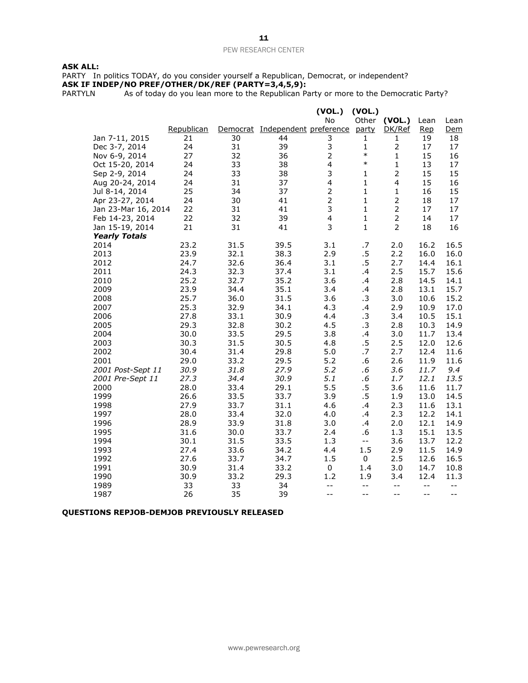#### **ASK ALL:**

PARTY In politics TODAY, do you consider yourself a Republican, Democrat, or independent? **ASK IF INDEP/NO PREF/OTHER/DK/REF (PARTY=3,4,5,9):**

PARTYLN As of today do you lean more to the Republican Party or more to the Democratic Party?

|                      |            |      |                                 | (VOL.)                  | (VOL.)       |                |       |      |
|----------------------|------------|------|---------------------------------|-------------------------|--------------|----------------|-------|------|
|                      |            |      |                                 | <b>No</b>               | Other        | (VOL.)         | Lean  | Lean |
|                      | Republican |      | Democrat Independent preference |                         | party        | DK/Ref         | Rep   | Dem  |
| Jan 7-11, 2015       | 21         | 30   | 44                              | 3                       | 1            | 1              | 19    | 18   |
| Dec 3-7, 2014        | 24         | 31   | 39                              | 3                       | $\mathbf{1}$ | $\mathbf 2$    | 17    | 17   |
| Nov 6-9, 2014        | 27         | 32   | 36                              | $\mathbf 2$             | $\ast$       | $\mathbf{1}$   | 15    | 16   |
| Oct 15-20, 2014      | 24         | 33   | 38                              | $\overline{\mathbf{4}}$ | $\ast$       | $\mathbf 1$    | 13    | 17   |
| Sep 2-9, 2014        | 24         | 33   | 38                              | 3                       | $\mathbf{1}$ | $\overline{2}$ | 15    | 15   |
| Aug 20-24, 2014      | 24         | 31   | 37                              | $\overline{\mathbf{4}}$ | 1            | $\overline{4}$ | 15    | 16   |
| Jul 8-14, 2014       | 25         | 34   | 37                              | $\mathbf 2$             | $\mathbf{1}$ | 1              | 16    | 15   |
| Apr 23-27, 2014      | 24         | 30   | 41                              | $\overline{2}$          | $\mathbf{1}$ | $\overline{2}$ | 18    | 17   |
| Jan 23-Mar 16, 2014  | 22         | 31   | 41                              | 3                       | 1            | $\mathbf 2$    | 17    | 17   |
| Feb 14-23, 2014      | 22         | 32   | 39                              | $\overline{4}$          | $\mathbf{1}$ | $\overline{2}$ | 14    | 17   |
| Jan 15-19, 2014      | 21         | 31   | 41                              | 3                       | $\mathbf{1}$ | $\overline{2}$ | 18    | 16   |
| <b>Yearly Totals</b> |            |      |                                 |                         |              |                |       |      |
| 2014                 | 23.2       | 31.5 | 39.5                            | 3.1                     | .7           | 2.0            | 16.2  | 16.5 |
| 2013                 | 23.9       | 32.1 | 38.3                            | 2.9                     | $.5\,$       | 2.2            | 16.0  | 16.0 |
| 2012                 | 24.7       | 32.6 | 36.4                            | 3.1                     | .5           | 2.7            | 14.4  | 16.1 |
| 2011                 | 24.3       | 32.3 | 37.4                            | 3.1                     | .4           | 2.5            | 15.7  | 15.6 |
| 2010                 | 25.2       | 32.7 | 35.2                            | 3.6                     | .4           | 2.8            | 14.5  | 14.1 |
| 2009                 | 23.9       | 34.4 | 35.1                            | 3.4                     | .4           | 2.8            | 13.1  | 15.7 |
| 2008                 | 25.7       | 36.0 | 31.5                            | 3.6                     | .3           | 3.0            | 10.6  | 15.2 |
| 2007                 | 25.3       | 32.9 | 34.1                            | 4.3                     | .4           | 2.9            | 10.9  | 17.0 |
| 2006                 | 27.8       | 33.1 | 30.9                            | 4.4                     | .3           | 3.4            | 10.5  | 15.1 |
| 2005                 | 29.3       | 32.8 | 30.2                            | 4.5                     | .3           | 2.8            | 10.3  | 14.9 |
| 2004                 | 30.0       | 33.5 | 29.5                            | 3.8                     | .4           | 3.0            | 11.7  | 13.4 |
| 2003                 | 30.3       | 31.5 | 30.5                            | 4.8                     | $.5\,$       | 2.5            | 12.0  | 12.6 |
| 2002                 | 30.4       | 31.4 | 29.8                            | 5.0                     | .7           | 2.7            | 12.4  | 11.6 |
| 2001                 | 29.0       | 33.2 | 29.5                            | 5.2                     | .6           | 2.6            | 11.9  | 11.6 |
| 2001 Post-Sept 11    | 30.9       | 31.8 | 27.9                            | 5.2                     | .6           | 3.6            | 11.7  | 9.4  |
| 2001 Pre-Sept 11     | 27.3       | 34.4 | 30.9                            | 5.1                     | $.6\,$       | 1.7            | 12.1  | 13.5 |
| 2000                 | 28.0       | 33.4 | 29.1                            | 5.5                     | $.5\,$       | 3.6            | 11.6  | 11.7 |
| 1999                 | 26.6       | 33.5 | 33.7                            | 3.9                     | .5           | 1.9            | 13.0  | 14.5 |
| 1998                 | 27.9       | 33.7 | 31.1                            | 4.6                     | .4           | 2.3            | 11.6  | 13.1 |
| 1997                 | 28.0       | 33.4 | 32.0                            | 4.0                     | .4           | 2.3            | 12.2  | 14.1 |
| 1996                 | 28.9       | 33.9 | 31.8                            | 3.0                     | .4           | 2.0            | 12.1  | 14.9 |
| 1995                 | 31.6       | 30.0 | 33.7                            | 2.4                     | .6           | 1.3            | 15.1  | 13.5 |
| 1994                 | 30.1       | 31.5 | 33.5                            | 1.3                     | $-$          | 3.6            | 13.7  | 12.2 |
| 1993                 | 27.4       | 33.6 | 34.2                            | 4.4                     | 1.5          | 2.9            | 11.5  | 14.9 |
| 1992                 | 27.6       | 33.7 | 34.7                            | 1.5                     | 0            | 2.5            | 12.6  | 16.5 |
| 1991                 | 30.9       | 31.4 | 33.2                            | $\pmb{0}$               | 1.4          | 3.0            | 14.7  | 10.8 |
| 1990                 | 30.9       | 33.2 | 29.3                            | 1.2                     | 1.9          | 3.4            | 12.4  | 11.3 |
| 1989                 | 33         | 33   | 34                              | $- -$                   | $- -$        | $- -$          | $-$   | $-$  |
| 1987                 | 26         | 35   | 39                              | $- -$                   | $-$          | $-$            | $- -$ | $-$  |

#### **QUESTIONS REPJOB-DEMJOB PREVIOUSLY RELEASED**